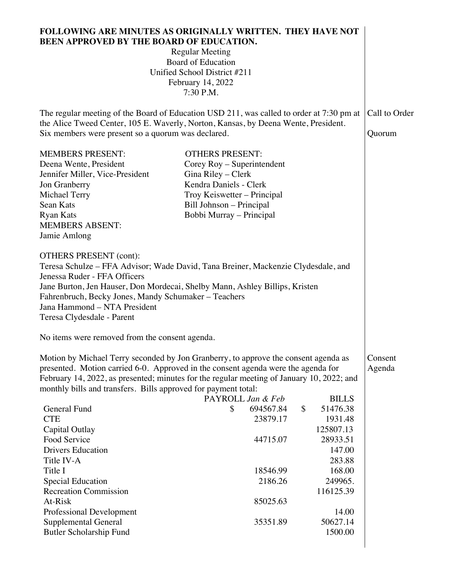| <b>FOLLOWING ARE MINUTES AS ORIGINALLY WRITTEN. THEY HAVE NOT</b><br>BEEN APPROVED BY THE BOARD OF EDUCATION.                                                                                                                                                                                                                                                                                             |                              |                           |         |
|-----------------------------------------------------------------------------------------------------------------------------------------------------------------------------------------------------------------------------------------------------------------------------------------------------------------------------------------------------------------------------------------------------------|------------------------------|---------------------------|---------|
|                                                                                                                                                                                                                                                                                                                                                                                                           | <b>Regular Meeting</b>       |                           |         |
|                                                                                                                                                                                                                                                                                                                                                                                                           | <b>Board of Education</b>    |                           |         |
|                                                                                                                                                                                                                                                                                                                                                                                                           | Unified School District #211 |                           |         |
|                                                                                                                                                                                                                                                                                                                                                                                                           | February 14, 2022            |                           |         |
|                                                                                                                                                                                                                                                                                                                                                                                                           | 7:30 P.M.                    |                           |         |
| The regular meeting of the Board of Education USD 211, was called to order at 7:30 pm at<br>the Alice Tweed Center, 105 E. Waverly, Norton, Kansas, by Deena Wente, President.<br>Six members were present so a quorum was declared.                                                                                                                                                                      |                              |                           |         |
| <b>MEMBERS PRESENT:</b>                                                                                                                                                                                                                                                                                                                                                                                   | <b>OTHERS PRESENT:</b>       |                           |         |
| Deena Wente, President                                                                                                                                                                                                                                                                                                                                                                                    | Corey Roy – Superintendent   |                           |         |
| Jennifer Miller, Vice-President                                                                                                                                                                                                                                                                                                                                                                           | Gina Riley – Clerk           |                           |         |
| Jon Granberry                                                                                                                                                                                                                                                                                                                                                                                             | Kendra Daniels - Clerk       |                           |         |
| Michael Terry                                                                                                                                                                                                                                                                                                                                                                                             | Troy Keiswetter - Principal  |                           |         |
| Sean Kats                                                                                                                                                                                                                                                                                                                                                                                                 | Bill Johnson - Principal     |                           |         |
| <b>Ryan Kats</b>                                                                                                                                                                                                                                                                                                                                                                                          | Bobbi Murray – Principal     |                           |         |
| <b>MEMBERS ABSENT:</b>                                                                                                                                                                                                                                                                                                                                                                                    |                              |                           |         |
| Jamie Amlong                                                                                                                                                                                                                                                                                                                                                                                              |                              |                           |         |
| <b>OTHERS PRESENT (cont):</b><br>Teresa Schulze – FFA Advisor; Wade David, Tana Breiner, Mackenzie Clydesdale, and<br>Jenessa Ruder - FFA Officers<br>Jane Burton, Jen Hauser, Don Mordecai, Shelby Mann, Ashley Billips, Kristen<br>Fahrenbruch, Becky Jones, Mandy Schumaker - Teachers<br>Jana Hammond - NTA President<br>Teresa Clydesdale - Parent<br>No items were removed from the consent agenda. |                              |                           |         |
|                                                                                                                                                                                                                                                                                                                                                                                                           |                              |                           |         |
| Motion by Michael Terry seconded by Jon Granberry, to approve the consent agenda as                                                                                                                                                                                                                                                                                                                       |                              |                           | Consent |
| presented. Motion carried 6-0. Approved in the consent agenda were the agenda for                                                                                                                                                                                                                                                                                                                         |                              |                           | Agenda  |
| February 14, 2022, as presented; minutes for the regular meeting of January 10, 2022; and                                                                                                                                                                                                                                                                                                                 |                              |                           |         |
| monthly bills and transfers. Bills approved for payment total:                                                                                                                                                                                                                                                                                                                                            |                              |                           |         |
|                                                                                                                                                                                                                                                                                                                                                                                                           | PAYROLL Jan & Feb            | <b>BILLS</b>              |         |
| <b>General Fund</b><br><b>CTE</b>                                                                                                                                                                                                                                                                                                                                                                         | \$<br>694567.84              | \$<br>51476.38<br>1931.48 |         |
|                                                                                                                                                                                                                                                                                                                                                                                                           | 23879.17                     | 125807.13                 |         |
| Capital Outlay<br>Food Service                                                                                                                                                                                                                                                                                                                                                                            | 44715.07                     | 28933.51                  |         |
| <b>Drivers Education</b>                                                                                                                                                                                                                                                                                                                                                                                  |                              | 147.00                    |         |
| Title IV-A                                                                                                                                                                                                                                                                                                                                                                                                |                              | 283.88                    |         |
| Title I                                                                                                                                                                                                                                                                                                                                                                                                   | 18546.99                     | 168.00                    |         |
| <b>Special Education</b>                                                                                                                                                                                                                                                                                                                                                                                  | 2186.26                      | 249965.                   |         |
| <b>Recreation Commission</b>                                                                                                                                                                                                                                                                                                                                                                              |                              | 116125.39                 |         |
| At-Risk                                                                                                                                                                                                                                                                                                                                                                                                   | 85025.63                     |                           |         |
| Professional Development                                                                                                                                                                                                                                                                                                                                                                                  |                              | 14.00                     |         |
| <b>Supplemental General</b>                                                                                                                                                                                                                                                                                                                                                                               | 35351.89                     | 50627.14                  |         |
| <b>Butler Scholarship Fund</b>                                                                                                                                                                                                                                                                                                                                                                            |                              | 1500.00                   |         |
|                                                                                                                                                                                                                                                                                                                                                                                                           |                              |                           |         |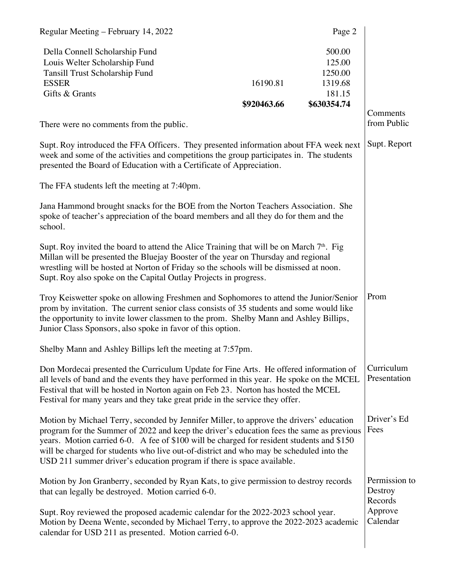| Regular Meeting – February 14, 2022                                                                                                                                                                                                                                                                                                                                                                                                                   |             | Page 2                      |                                     |
|-------------------------------------------------------------------------------------------------------------------------------------------------------------------------------------------------------------------------------------------------------------------------------------------------------------------------------------------------------------------------------------------------------------------------------------------------------|-------------|-----------------------------|-------------------------------------|
| Della Connell Scholarship Fund<br>Louis Welter Scholarship Fund<br>Tansill Trust Scholarship Fund                                                                                                                                                                                                                                                                                                                                                     |             | 500.00<br>125.00<br>1250.00 |                                     |
| <b>ESSER</b>                                                                                                                                                                                                                                                                                                                                                                                                                                          | 16190.81    | 1319.68                     |                                     |
| Gifts & Grants                                                                                                                                                                                                                                                                                                                                                                                                                                        | \$920463.66 | 181.15<br>\$630354.74       |                                     |
| There were no comments from the public.                                                                                                                                                                                                                                                                                                                                                                                                               |             |                             | Comments<br>from Public             |
| Supt. Roy introduced the FFA Officers. They presented information about FFA week next<br>week and some of the activities and competitions the group participates in. The students<br>presented the Board of Education with a Certificate of Appreciation.                                                                                                                                                                                             |             |                             |                                     |
| The FFA students left the meeting at 7:40pm.                                                                                                                                                                                                                                                                                                                                                                                                          |             |                             |                                     |
| Jana Hammond brought snacks for the BOE from the Norton Teachers Association. She<br>spoke of teacher's appreciation of the board members and all they do for them and the<br>school.                                                                                                                                                                                                                                                                 |             |                             |                                     |
| Supt. Roy invited the board to attend the Alice Training that will be on March 7 <sup>th</sup> . Fig<br>Millan will be presented the Bluejay Booster of the year on Thursday and regional<br>wrestling will be hosted at Norton of Friday so the schools will be dismissed at noon.<br>Supt. Roy also spoke on the Capital Outlay Projects in progress.                                                                                               |             |                             |                                     |
| Troy Keiswetter spoke on allowing Freshmen and Sophomores to attend the Junior/Senior<br>prom by invitation. The current senior class consists of 35 students and some would like<br>the opportunity to invite lower classmen to the prom. Shelby Mann and Ashley Billips,<br>Junior Class Sponsors, also spoke in favor of this option.                                                                                                              |             |                             |                                     |
| Shelby Mann and Ashley Billips left the meeting at 7:57pm.                                                                                                                                                                                                                                                                                                                                                                                            |             |                             |                                     |
| Don Mordecai presented the Curriculum Update for Fine Arts. He offered information of<br>all levels of band and the events they have performed in this year. He spoke on the MCEL<br>Festival that will be hosted in Norton again on Feb 23. Norton has hosted the MCEL<br>Festival for many years and they take great pride in the service they offer.                                                                                               |             |                             | Curriculum<br>Presentation          |
| Motion by Michael Terry, seconded by Jennifer Miller, to approve the drivers' education<br>program for the Summer of 2022 and keep the driver's education fees the same as previous<br>years. Motion carried 6-0. A fee of \$100 will be charged for resident students and \$150<br>will be charged for students who live out-of-district and who may be scheduled into the<br>USD 211 summer driver's education program if there is space available. |             |                             | Driver's Ed<br>Fees                 |
| Motion by Jon Granberry, seconded by Ryan Kats, to give permission to destroy records<br>that can legally be destroyed. Motion carried 6-0.                                                                                                                                                                                                                                                                                                           |             |                             | Permission to<br>Destroy<br>Records |
| Supt. Roy reviewed the proposed academic calendar for the 2022-2023 school year.<br>Motion by Deena Wente, seconded by Michael Terry, to approve the 2022-2023 academic<br>calendar for USD 211 as presented. Motion carried 6-0.                                                                                                                                                                                                                     |             |                             |                                     |